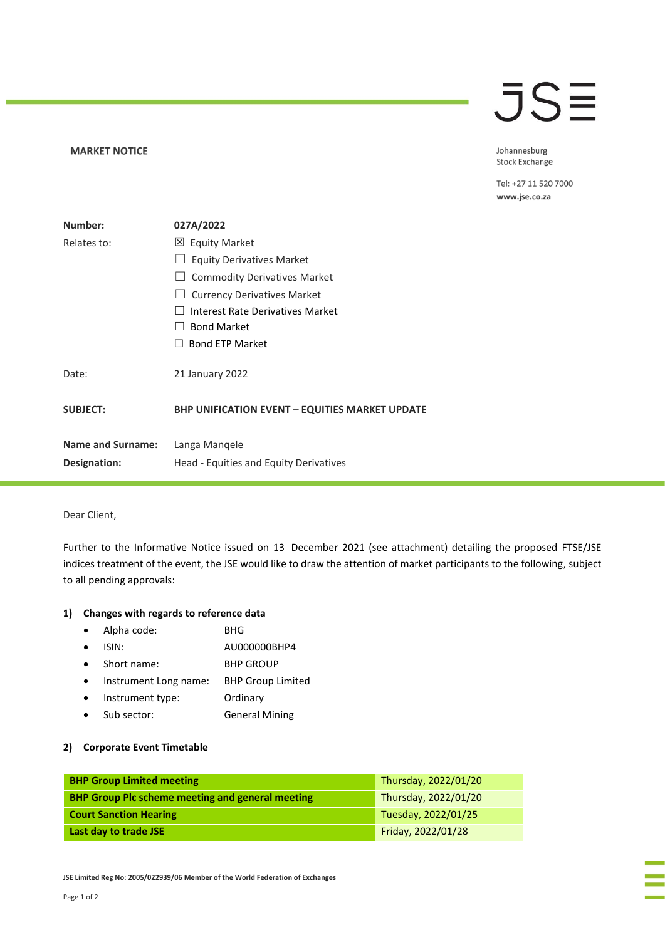## JSE

### **MARKET NOTICE**

Johannesburg Stock Exchange

Tel: +27 11 520 7000 www.jse.co.za

| Number:                  | 027A/2022                                             |
|--------------------------|-------------------------------------------------------|
| Relates to:              | 凶 Equity Market                                       |
|                          | <b>Equity Derivatives Market</b>                      |
|                          | <b>Commodity Derivatives Market</b>                   |
|                          | <b>Currency Derivatives Market</b>                    |
|                          | Interest Rate Derivatives Market                      |
|                          | <b>Bond Market</b>                                    |
|                          | <b>Bond ETP Market</b>                                |
| Date:                    | 21 January 2022                                       |
| <b>SUBJECT:</b>          | <b>BHP UNIFICATION EVENT - EQUITIES MARKET UPDATE</b> |
| <b>Name and Surname:</b> | Langa Mangele                                         |
| Designation:             | Head - Equities and Equity Derivatives                |
|                          |                                                       |

### Dear Client,

Further to the Informative Notice issued on 13 December 2021 (see attachment) detailing the proposed FTSE/JSE indices treatment of the event, the JSE would like to draw the attention of market participants to the following, subject to all pending approvals:

### **1) Changes with regards to reference data**

- Alpha code: BHG
- ISIN: AU000000BHP4
- Short name: BHP GROUP
- Instrument Long name: BHP Group Limited
- Instrument type: Ordinary
- Sub sector: General Mining

## **2) Corporate Event Timetable**

| <b>BHP Group Limited meeting</b>                        | Thursday, 2022/01/20 |
|---------------------------------------------------------|----------------------|
| <b>BHP Group Plc scheme meeting and general meeting</b> | Thursday, 2022/01/20 |
| <b>Court Sanction Hearing</b>                           | Tuesday, 2022/01/25  |
| Last day to trade JSE                                   | Friday, 2022/01/28   |